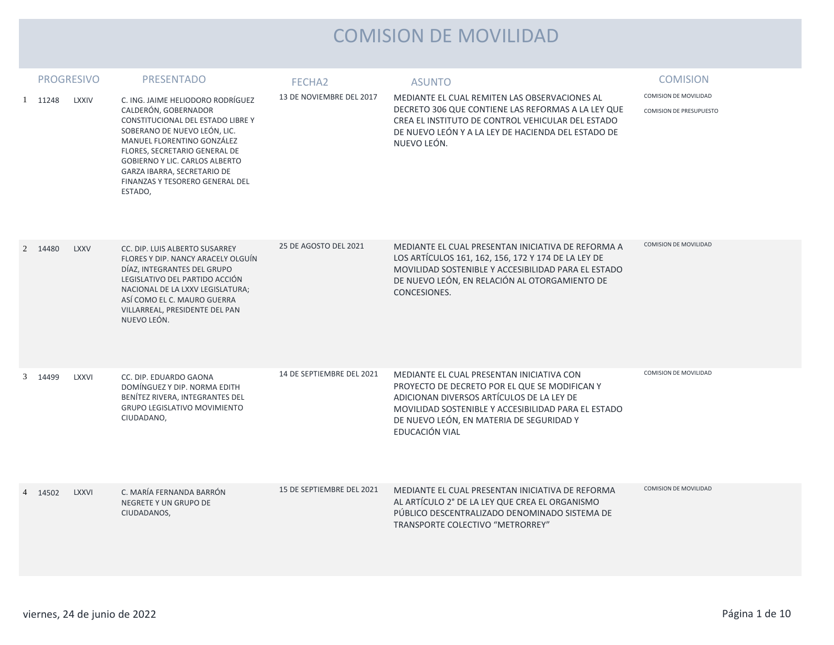## COMISION DE MOVILIDAD

|   | <b>PROGRESIVO</b> |              | <b>PRESENTADO</b>                                                                                                                                                                                                                                                       | FECHA <sub>2</sub>        | <b>ASUNTO</b>                                                                                                                                                                                                                                                | <b>COMISION</b>                |
|---|-------------------|--------------|-------------------------------------------------------------------------------------------------------------------------------------------------------------------------------------------------------------------------------------------------------------------------|---------------------------|--------------------------------------------------------------------------------------------------------------------------------------------------------------------------------------------------------------------------------------------------------------|--------------------------------|
| 1 | 11248             | <b>LXXIV</b> | C. ING. JAIME HELIODORO RODRÍGUEZ                                                                                                                                                                                                                                       | 13 DE NOVIEMBRE DEL 2017  | MEDIANTE EL CUAL REMITEN LAS OBSERVACIONES AL                                                                                                                                                                                                                | COMISION DE MOVILIDAD          |
|   |                   |              | CALDERÓN, GOBERNADOR<br>CONSTITUCIONAL DEL ESTADO LIBRE Y<br>SOBERANO DE NUEVO LEÓN, LIC.<br>MANUEL FLORENTINO GONZÁLEZ<br>FLORES, SECRETARIO GENERAL DE<br>GOBIERNO Y LIC. CARLOS ALBERTO<br>GARZA IBARRA, SECRETARIO DE<br>FINANZAS Y TESORERO GENERAL DEL<br>ESTADO, |                           | DECRETO 306 QUE CONTIENE LAS REFORMAS A LA LEY QUE<br>CREA EL INSTITUTO DE CONTROL VEHICULAR DEL ESTADO<br>DE NUEVO LEÓN Y A LA LEY DE HACIENDA DEL ESTADO DE<br>NUEVO LEÓN.                                                                                 | <b>COMISION DE PRESUPUESTO</b> |
|   | 2 14480           | <b>LXXV</b>  | CC. DIP. LUIS ALBERTO SUSARREY<br>FLORES Y DIP. NANCY ARACELY OLGUÍN<br>DÍAZ, INTEGRANTES DEL GRUPO<br>LEGISLATIVO DEL PARTIDO ACCIÓN<br>NACIONAL DE LA LXXV LEGISLATURA;<br>ASÍ COMO EL C. MAURO GUERRA<br>VILLARREAL, PRESIDENTE DEL PAN<br>NUEVO LEÓN.               | 25 DE AGOSTO DEL 2021     | MEDIANTE EL CUAL PRESENTAN INICIATIVA DE REFORMA A<br>LOS ARTÍCULOS 161, 162, 156, 172 Y 174 DE LA LEY DE<br>MOVILIDAD SOSTENIBLE Y ACCESIBILIDAD PARA EL ESTADO<br>DE NUEVO LEÓN, EN RELACIÓN AL OTORGAMIENTO DE<br>CONCESIONES.                            | COMISION DE MOVILIDAD          |
|   | 3 14499           | <b>LXXVI</b> | CC. DIP. EDUARDO GAONA<br>DOMÍNGUEZ Y DIP. NORMA EDITH<br>BENÍTEZ RIVERA, INTEGRANTES DEL<br><b>GRUPO LEGISLATIVO MOVIMIENTO</b><br>CIUDADANO,                                                                                                                          | 14 DE SEPTIEMBRE DEL 2021 | MEDIANTE EL CUAL PRESENTAN INICIATIVA CON<br>PROYECTO DE DECRETO POR EL QUE SE MODIFICAN Y<br>ADICIONAN DIVERSOS ARTÍCULOS DE LA LEY DE<br>MOVILIDAD SOSTENIBLE Y ACCESIBILIDAD PARA EL ESTADO<br>DE NUEVO LEÓN, EN MATERIA DE SEGURIDAD Y<br>EDUCACIÓN VIAL | COMISION DE MOVILIDAD          |
|   | 4 14502           | <b>LXXVI</b> | C. MARÍA FERNANDA BARRÓN<br>NEGRETE Y UN GRUPO DE<br>CIUDADANOS,                                                                                                                                                                                                        | 15 DE SEPTIEMBRE DEL 2021 | MEDIANTE EL CUAL PRESENTAN INICIATIVA DE REFORMA<br>AL ARTÍCULO 2° DE LA LEY QUE CREA EL ORGANISMO<br>PÚBLICO DESCENTRALIZADO DENOMINADO SISTEMA DE<br>TRANSPORTE COLECTIVO "METRORREY"                                                                      | COMISION DE MOVILIDAD          |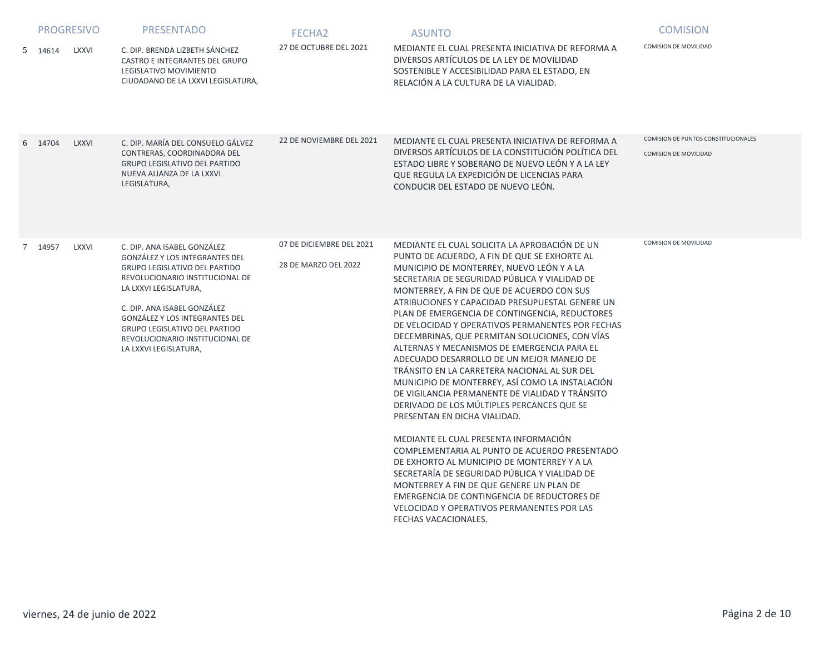|         | <b>PROGRESIVO</b> | <b>PRESENTADO</b>                                                                                                                                                                                                                                                                                                        | FECHA <sub>2</sub>                               | <b>ASUNTO</b>                                                                                                                                                                                                                                                                                                                                                                                                                                                                                                                                                                                                                                                                                                                                                                                                                                                                                                                                                                                                                                                                                                                                          | <b>COMISION</b>                                                     |
|---------|-------------------|--------------------------------------------------------------------------------------------------------------------------------------------------------------------------------------------------------------------------------------------------------------------------------------------------------------------------|--------------------------------------------------|--------------------------------------------------------------------------------------------------------------------------------------------------------------------------------------------------------------------------------------------------------------------------------------------------------------------------------------------------------------------------------------------------------------------------------------------------------------------------------------------------------------------------------------------------------------------------------------------------------------------------------------------------------------------------------------------------------------------------------------------------------------------------------------------------------------------------------------------------------------------------------------------------------------------------------------------------------------------------------------------------------------------------------------------------------------------------------------------------------------------------------------------------------|---------------------------------------------------------------------|
| 5 14614 | <b>LXXVI</b>      | C. DIP. BRENDA LIZBETH SÁNCHEZ<br>CASTRO E INTEGRANTES DEL GRUPO<br>LEGISLATIVO MOVIMIENTO<br>CIUDADANO DE LA LXXVI LEGISLATURA,                                                                                                                                                                                         | 27 DE OCTUBRE DEL 2021                           | MEDIANTE EL CUAL PRESENTA INICIATIVA DE REFORMA A<br>DIVERSOS ARTÍCULOS DE LA LEY DE MOVILIDAD<br>SOSTENIBLE Y ACCESIBILIDAD PARA EL ESTADO, EN<br>RELACIÓN A LA CULTURA DE LA VIALIDAD.                                                                                                                                                                                                                                                                                                                                                                                                                                                                                                                                                                                                                                                                                                                                                                                                                                                                                                                                                               | <b>COMISION DE MOVILIDAD</b>                                        |
| 6 14704 | <b>LXXVI</b>      | C. DIP. MARÍA DEL CONSUELO GÁLVEZ<br>CONTRERAS, COORDINADORA DEL<br><b>GRUPO LEGISLATIVO DEL PARTIDO</b><br>NUEVA ALIANZA DE LA LXXVI<br>LEGISLATURA,                                                                                                                                                                    | 22 DE NOVIEMBRE DEL 2021                         | MEDIANTE EL CUAL PRESENTA INICIATIVA DE REFORMA A<br>DIVERSOS ARTÍCULOS DE LA CONSTITUCIÓN POLÍTICA DEL<br>ESTADO LIBRE Y SOBERANO DE NUEVO LEÓN Y A LA LEY<br>QUE REGULA LA EXPEDICIÓN DE LICENCIAS PARA<br>CONDUCIR DEL ESTADO DE NUEVO LEÓN.                                                                                                                                                                                                                                                                                                                                                                                                                                                                                                                                                                                                                                                                                                                                                                                                                                                                                                        | COMISION DE PUNTOS CONSTITUCIONALES<br><b>COMISION DE MOVILIDAD</b> |
| 7 14957 | <b>LXXVI</b>      | C. DIP. ANA ISABEL GONZÁLEZ<br>GONZÁLEZ Y LOS INTEGRANTES DEL<br>GRUPO LEGISLATIVO DEL PARTIDO<br>REVOLUCIONARIO INSTITUCIONAL DE<br>LA LXXVI LEGISLATURA,<br>C. DIP. ANA ISABEL GONZÁLEZ<br>GONZÁLEZ Y LOS INTEGRANTES DEL<br>GRUPO LEGISLATIVO DEL PARTIDO<br>REVOLUCIONARIO INSTITUCIONAL DE<br>LA LXXVI LEGISLATURA, | 07 DE DICIEMBRE DEL 2021<br>28 DE MARZO DEL 2022 | MEDIANTE EL CUAL SOLICITA LA APROBACIÓN DE UN<br>PUNTO DE ACUERDO, A FIN DE QUE SE EXHORTE AL<br>MUNICIPIO DE MONTERREY, NUEVO LEÓN Y A LA<br>SECRETARIA DE SEGURIDAD PÚBLICA Y VIALIDAD DE<br>MONTERREY, A FIN DE QUE DE ACUERDO CON SUS<br>ATRIBUCIONES Y CAPACIDAD PRESUPUESTAL GENERE UN<br>PLAN DE EMERGENCIA DE CONTINGENCIA, REDUCTORES<br>DE VELOCIDAD Y OPERATIVOS PERMANENTES POR FECHAS<br>DECEMBRINAS, QUE PERMITAN SOLUCIONES, CON VÍAS<br>ALTERNAS Y MECANISMOS DE EMERGENCIA PARA EL<br>ADECUADO DESARROLLO DE UN MEJOR MANEJO DE<br>TRÁNSITO EN LA CARRETERA NACIONAL AL SUR DEL<br>MUNICIPIO DE MONTERREY, ASÍ COMO LA INSTALACIÓN<br>DE VIGILANCIA PERMANENTE DE VIALIDAD Y TRÁNSITO<br>DERIVADO DE LOS MÚLTIPLES PERCANCES QUE SE<br>PRESENTAN EN DICHA VIALIDAD.<br>MEDIANTE EL CUAL PRESENTA INFORMACIÓN<br>COMPLEMENTARIA AL PUNTO DE ACUERDO PRESENTADO<br>DE EXHORTO AL MUNICIPIO DE MONTERREY Y A LA<br>SECRETARÍA DE SEGURIDAD PÚBLICA Y VIALIDAD DE<br>MONTERREY A FIN DE QUE GENERE UN PLAN DE<br>EMERGENCIA DE CONTINGENCIA DE REDUCTORES DE<br><b>VELOCIDAD Y OPERATIVOS PERMANENTES POR LAS</b><br>FECHAS VACACIONALES. | COMISION DE MOVILIDAD                                               |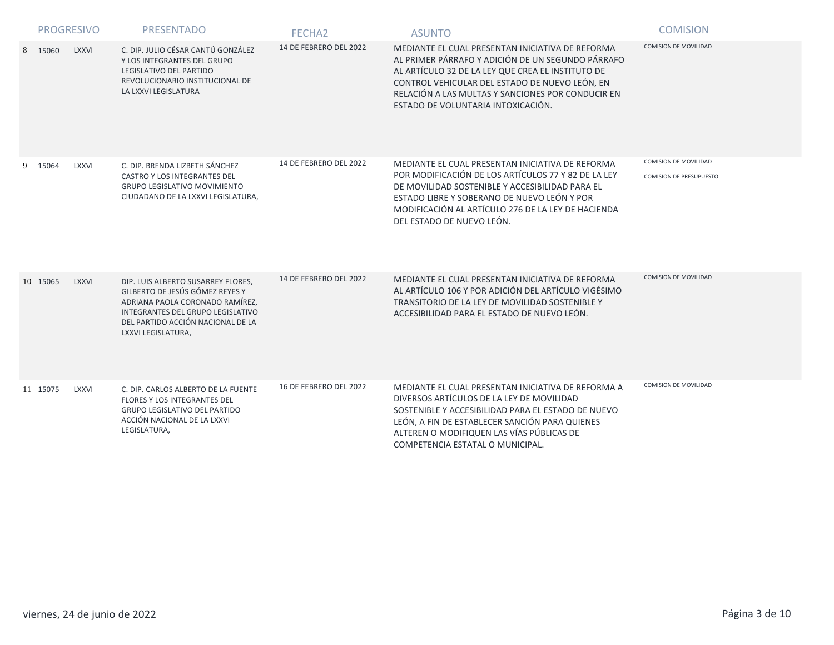|   |          | <b>PROGRESIVO</b> | <b>PRESENTADO</b>                                                                                                                                                                                        | FECHA <sub>2</sub>     | <b>ASUNTO</b>                                                                                                                                                                                                                                                                                           | <b>COMISION</b>                                  |
|---|----------|-------------------|----------------------------------------------------------------------------------------------------------------------------------------------------------------------------------------------------------|------------------------|---------------------------------------------------------------------------------------------------------------------------------------------------------------------------------------------------------------------------------------------------------------------------------------------------------|--------------------------------------------------|
| 8 | 15060    | <b>LXXVI</b>      | C. DIP. JULIO CÉSAR CANTÚ GONZÁLEZ<br>Y LOS INTEGRANTES DEL GRUPO<br>LEGISLATIVO DEL PARTIDO<br>REVOLUCIONARIO INSTITUCIONAL DE<br>LA LXXVI LEGISLATURA                                                  | 14 DE FEBRERO DEL 2022 | MEDIANTE EL CUAL PRESENTAN INICIATIVA DE REFORMA<br>AL PRIMER PÁRRAFO Y ADICIÓN DE UN SEGUNDO PÁRRAFO<br>AL ARTÍCULO 32 DE LA LEY QUE CREA EL INSTITUTO DE<br>CONTROL VEHICULAR DEL ESTADO DE NUEVO LEÓN, EN<br>RELACIÓN A LAS MULTAS Y SANCIONES POR CONDUCIR EN<br>ESTADO DE VOLUNTARIA INTOXICACIÓN. | <b>COMISION DE MOVILIDAD</b>                     |
|   | 9 15064  | LXXVI             | C. DIP. BRENDA LIZBETH SÁNCHEZ<br>CASTRO Y LOS INTEGRANTES DEL<br><b>GRUPO LEGISLATIVO MOVIMIENTO</b><br>CIUDADANO DE LA LXXVI LEGISLATURA,                                                              | 14 DE FEBRERO DEL 2022 | MEDIANTE EL CUAL PRESENTAN INICIATIVA DE REFORMA<br>POR MODIFICACIÓN DE LOS ARTÍCULOS 77 Y 82 DE LA LEY<br>DE MOVILIDAD SOSTENIBLE Y ACCESIBILIDAD PARA EL<br>ESTADO LIBRE Y SOBERANO DE NUEVO LEÓN Y POR<br>MODIFICACIÓN AL ARTÍCULO 276 DE LA LEY DE HACIENDA<br>DEL ESTADO DE NUEVO LEÓN.            | COMISION DE MOVILIDAD<br>COMISION DE PRESUPUESTO |
|   | 10 15065 | <b>LXXVI</b>      | DIP. LUIS ALBERTO SUSARREY FLORES.<br>GILBERTO DE JESÚS GÓMEZ REYES Y<br>ADRIANA PAOLA CORONADO RAMÍREZ,<br>INTEGRANTES DEL GRUPO LEGISLATIVO<br>DEL PARTIDO ACCIÓN NACIONAL DE LA<br>LXXVI LEGISLATURA, | 14 DE FEBRERO DEL 2022 | MEDIANTE EL CUAL PRESENTAN INICIATIVA DE REFORMA<br>AL ARTÍCULO 106 Y POR ADICIÓN DEL ARTÍCULO VIGÉSIMO<br>TRANSITORIO DE LA LEY DE MOVILIDAD SOSTENIBLE Y<br>ACCESIBILIDAD PARA EL ESTADO DE NUEVO LEÓN.                                                                                               | <b>COMISION DE MOVILIDAD</b>                     |
|   | 11 15075 | <b>LXXVI</b>      | C. DIP. CARLOS ALBERTO DE LA FUENTE<br><b>FLORES Y LOS INTEGRANTES DEL</b><br><b>GRUPO LEGISLATIVO DEL PARTIDO</b><br>ACCIÓN NACIONAL DE LA LXXVI<br>LEGISLATURA,                                        | 16 DE FEBRERO DEL 2022 | MEDIANTE EL CUAL PRESENTAN INICIATIVA DE REFORMA A<br>DIVERSOS ARTÍCULOS DE LA LEY DE MOVILIDAD<br>SOSTENIBLE Y ACCESIBILIDAD PARA EL ESTADO DE NUEVO<br>LEÓN, A FIN DE ESTABLECER SANCIÓN PARA QUIENES<br>ALTEREN O MODIFIQUEN LAS VÍAS PÚBLICAS DE<br>COMPETENCIA ESTATAL O MUNICIPAL.                | <b>COMISION DE MOVILIDAD</b>                     |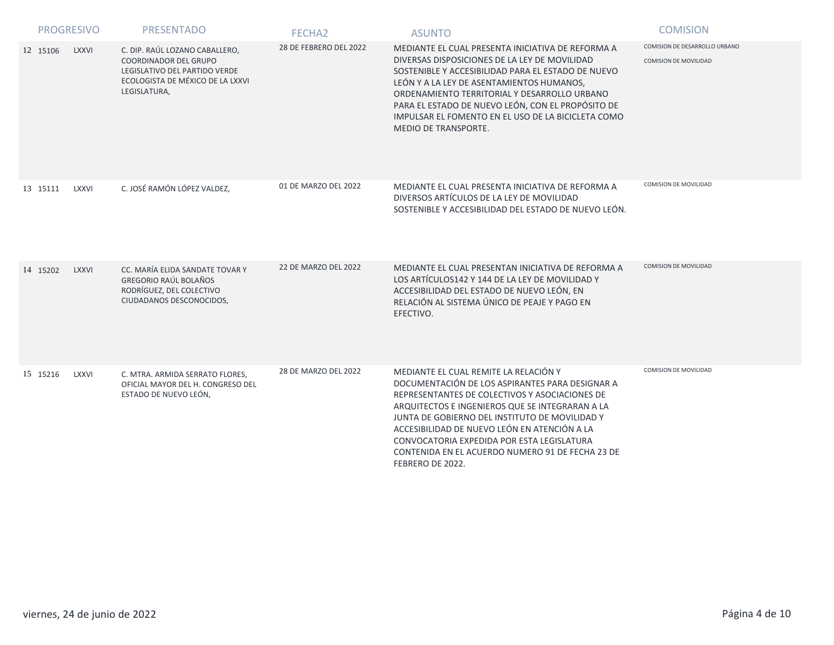| <b>PROGRESIVO</b> |              | <b>PRESENTADO</b>                                                                                                                                   | FECHA <sub>2</sub>          | <b>ASUNTO</b>                                                                                                                                                                                                                                                                                                                                                                                                         | <b>COMISION</b>                                               |
|-------------------|--------------|-----------------------------------------------------------------------------------------------------------------------------------------------------|-----------------------------|-----------------------------------------------------------------------------------------------------------------------------------------------------------------------------------------------------------------------------------------------------------------------------------------------------------------------------------------------------------------------------------------------------------------------|---------------------------------------------------------------|
| 12 15106          | <b>LXXVI</b> | C. DIP. RAÚL LOZANO CABALLERO,<br><b>COORDINADOR DEL GRUPO</b><br>LEGISLATIVO DEL PARTIDO VERDE<br>ECOLOGISTA DE MÉXICO DE LA LXXVI<br>LEGISLATURA, | 28 DE FEBRERO DEL 2022      | MEDIANTE EL CUAL PRESENTA INICIATIVA DE REFORMA A<br>DIVERSAS DISPOSICIONES DE LA LEY DE MOVILIDAD<br>SOSTENIBLE Y ACCESIBILIDAD PARA EL ESTADO DE NUEVO<br>LEÓN Y A LA LEY DE ASENTAMIENTOS HUMANOS,<br>ORDENAMIENTO TERRITORIAL Y DESARROLLO URBANO<br>PARA EL ESTADO DE NUEVO LEÓN, CON EL PROPÓSITO DE<br>IMPULSAR EL FOMENTO EN EL USO DE LA BICICLETA COMO<br><b>MEDIO DE TRANSPORTE.</b>                       | COMISION DE DESARROLLO URBANO<br><b>COMISION DE MOVILIDAD</b> |
| 13 15111          | <b>LXXVI</b> | C. JOSÉ RAMÓN LÓPEZ VALDEZ.                                                                                                                         | 01 DE MARZO DEL 2022        | MEDIANTE EL CUAL PRESENTA INICIATIVA DE REFORMA A<br>DIVERSOS ARTÍCULOS DE LA LEY DE MOVILIDAD<br>SOSTENIBLE Y ACCESIBILIDAD DEL ESTADO DE NUEVO LEÓN.                                                                                                                                                                                                                                                                | COMISION DE MOVILIDAD                                         |
| 14 15202          | <b>LXXVI</b> | CC. MARÍA ELIDA SANDATE TOVAR Y<br><b>GREGORIO RAÚL BOLAÑOS</b><br>RODRÍGUEZ, DEL COLECTIVO<br>CIUDADANOS DESCONOCIDOS,                             | <b>22 DE MARZO DEL 2022</b> | MEDIANTE EL CUAL PRESENTAN INICIATIVA DE REFORMA A<br>LOS ARTÍCULOS142 Y 144 DE LA LEY DE MOVILIDAD Y<br>ACCESIBILIDAD DEL ESTADO DE NUEVO LEÓN, EN<br>RELACIÓN AL SISTEMA ÚNICO DE PEAJE Y PAGO EN<br>EFECTIVO.                                                                                                                                                                                                      | COMISION DE MOVILIDAD                                         |
| 15 15216          | <b>LXXVI</b> | C. MTRA. ARMIDA SERRATO FLORES,<br>OFICIAL MAYOR DEL H. CONGRESO DEL<br>ESTADO DE NUEVO LEÓN,                                                       | 28 DE MARZO DEL 2022        | MEDIANTE EL CUAL REMITE LA RELACIÓN Y<br>DOCUMENTACIÓN DE LOS ASPIRANTES PARA DESIGNAR A<br>REPRESENTANTES DE COLECTIVOS Y ASOCIACIONES DE<br>ARQUITECTOS E INGENIEROS QUE SE INTEGRARAN A LA<br>JUNTA DE GOBIERNO DEL INSTITUTO DE MOVILIDAD Y<br>ACCESIBILIDAD DE NUEVO LEÓN EN ATENCIÓN A LA<br>CONVOCATORIA EXPEDIDA POR ESTA LEGISLATURA<br>CONTENIDA EN EL ACUERDO NUMERO 91 DE FECHA 23 DE<br>FEBRERO DE 2022. | <b>COMISION DE MOVILIDAD</b>                                  |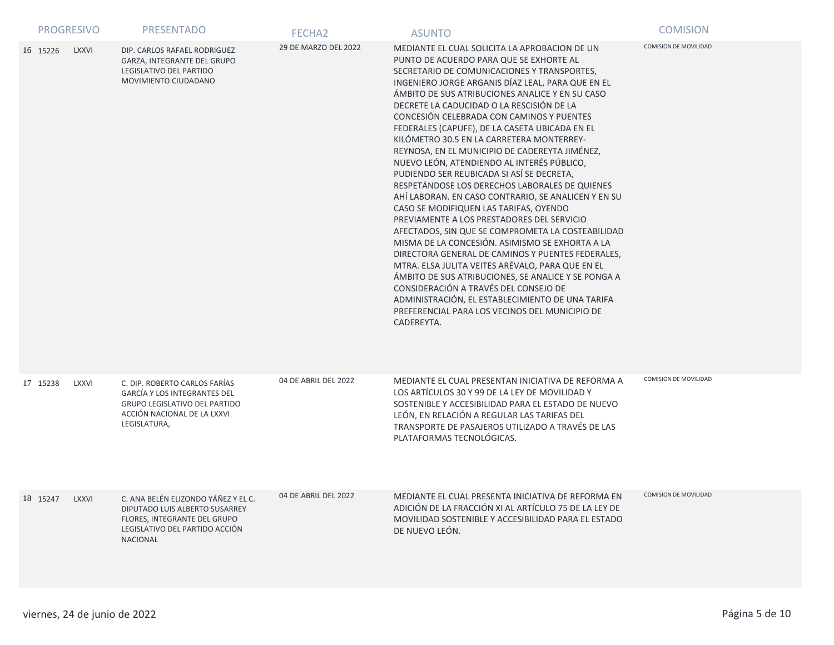|          | <b>PROGRESIVO</b> | <b>PRESENTADO</b>                                                                                                                                           | FECHA <sub>2</sub>   | <b>ASUNTO</b>                                                                                                                                                                                                                                                                                                                                                                                                                                                                                                                                                                                                                                                                                                                                                                                                                                                                                                                                                                                                                                                                                                                                                                                                               | <b>COMISION</b>              |
|----------|-------------------|-------------------------------------------------------------------------------------------------------------------------------------------------------------|----------------------|-----------------------------------------------------------------------------------------------------------------------------------------------------------------------------------------------------------------------------------------------------------------------------------------------------------------------------------------------------------------------------------------------------------------------------------------------------------------------------------------------------------------------------------------------------------------------------------------------------------------------------------------------------------------------------------------------------------------------------------------------------------------------------------------------------------------------------------------------------------------------------------------------------------------------------------------------------------------------------------------------------------------------------------------------------------------------------------------------------------------------------------------------------------------------------------------------------------------------------|------------------------------|
| 16 15226 | <b>LXXVI</b>      | DIP. CARLOS RAFAEL RODRIGUEZ<br>GARZA, INTEGRANTE DEL GRUPO<br>LEGISLATIVO DEL PARTIDO<br>MOVIMIENTO CIUDADANO                                              | 29 DE MARZO DEL 2022 | MEDIANTE EL CUAL SOLICITA LA APROBACION DE UN<br>PUNTO DE ACUERDO PARA QUE SE EXHORTE AL<br>SECRETARIO DE COMUNICACIONES Y TRANSPORTES,<br>INGENIERO JORGE ARGANIS DÍAZ LEAL, PARA QUE EN EL<br>ÁMBITO DE SUS ATRIBUCIONES ANALICE Y EN SU CASO<br>DECRETE LA CADUCIDAD O LA RESCISIÓN DE LA<br>CONCESIÓN CELEBRADA CON CAMINOS Y PUENTES<br>FEDERALES (CAPUFE), DE LA CASETA UBICADA EN EL<br>KILÓMETRO 30.5 EN LA CARRETERA MONTERREY-<br>REYNOSA, EN EL MUNICIPIO DE CADEREYTA JIMÉNEZ,<br>NUEVO LEÓN, ATENDIENDO AL INTERÉS PÚBLICO,<br>PUDIENDO SER REUBICADA SI ASÍ SE DECRETA,<br>RESPETÁNDOSE LOS DERECHOS LABORALES DE QUIENES<br>AHÍ LABORAN. EN CASO CONTRARIO, SE ANALICEN Y EN SU<br>CASO SE MODIFIQUEN LAS TARIFAS, OYENDO<br>PREVIAMENTE A LOS PRESTADORES DEL SERVICIO<br>AFECTADOS, SIN QUE SE COMPROMETA LA COSTEABILIDAD<br>MISMA DE LA CONCESIÓN. ASIMISMO SE EXHORTA A LA<br>DIRECTORA GENERAL DE CAMINOS Y PUENTES FEDERALES,<br>MTRA. ELSA JULITA VEITES ARÉVALO, PARA QUE EN EL<br>ÁMBITO DE SUS ATRIBUCIONES, SE ANALICE Y SE PONGA A<br>CONSIDERACIÓN A TRAVÉS DEL CONSEJO DE<br>ADMINISTRACIÓN, EL ESTABLECIMIENTO DE UNA TARIFA<br>PREFERENCIAL PARA LOS VECINOS DEL MUNICIPIO DE<br>CADEREYTA. | <b>COMISION DE MOVILIDAD</b> |
| 17 15238 | LXXVI             | C. DIP. ROBERTO CARLOS FARÍAS<br><b>GARCÍA Y LOS INTEGRANTES DEL</b><br><b>GRUPO LEGISLATIVO DEL PARTIDO</b><br>ACCIÓN NACIONAL DE LA LXXVI<br>LEGISLATURA, | 04 DE ABRIL DEL 2022 | MEDIANTE EL CUAL PRESENTAN INICIATIVA DE REFORMA A<br>LOS ARTÍCULOS 30 Y 99 DE LA LEY DE MOVILIDAD Y<br>SOSTENIBLE Y ACCESIBILIDAD PARA EL ESTADO DE NUEVO<br>LEÓN, EN RELACIÓN A REGULAR LAS TARIFAS DEL<br>TRANSPORTE DE PASAJEROS UTILIZADO A TRAVÉS DE LAS<br>PLATAFORMAS TECNOLÓGICAS.                                                                                                                                                                                                                                                                                                                                                                                                                                                                                                                                                                                                                                                                                                                                                                                                                                                                                                                                 | <b>COMISION DE MOVILIDAD</b> |
| 18 15247 | <b>LXXVI</b>      | C. ANA BELÉN ELIZONDO YÁÑEZ Y EL C.<br>DIPUTADO LUIS ALBERTO SUSARREY<br>FLORES, INTEGRANTE DEL GRUPO<br>LEGISLATIVO DEL PARTIDO ACCIÓN<br><b>NACIONAL</b>  | 04 DE ABRIL DEL 2022 | MEDIANTE EL CUAL PRESENTA INICIATIVA DE REFORMA EN<br>ADICIÓN DE LA FRACCIÓN XI AL ARTÍCULO 75 DE LA LEY DE<br>MOVILIDAD SOSTENIBLE Y ACCESIBILIDAD PARA EL ESTADO<br>DE NUEVO LEÓN.                                                                                                                                                                                                                                                                                                                                                                                                                                                                                                                                                                                                                                                                                                                                                                                                                                                                                                                                                                                                                                        | COMISION DE MOVILIDAD        |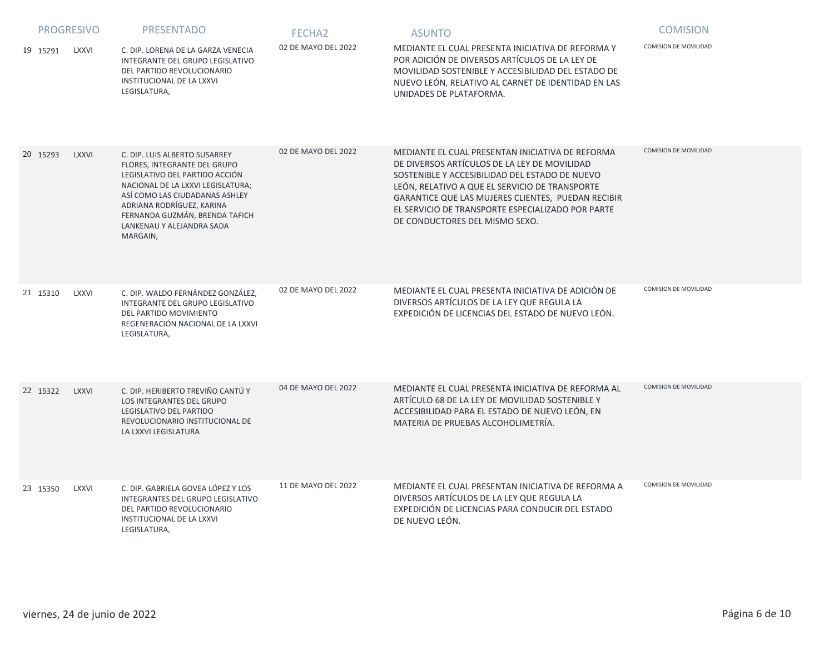|          | <b>PROGRESIVO</b> | <b>PRESENTADO</b>                                                                                                                                                                                                                                                              | FECHA <sub>2</sub>  | <b>ASUNTO</b>                                                                                                                                                                                                                                                                                                                                     | <b>COMISION</b>       |
|----------|-------------------|--------------------------------------------------------------------------------------------------------------------------------------------------------------------------------------------------------------------------------------------------------------------------------|---------------------|---------------------------------------------------------------------------------------------------------------------------------------------------------------------------------------------------------------------------------------------------------------------------------------------------------------------------------------------------|-----------------------|
| 19 15291 | LXXVI             | C. DIP. LORENA DE LA GARZA VENECIA<br>INTEGRANTE DEL GRUPO LEGISLATIVO<br>DEL PARTIDO REVOLUCIONARIO<br>INSTITUCIONAL DE LA LXXVI<br>LEGISLATURA,                                                                                                                              | 02 DE MAYO DEL 2022 | MEDIANTE EL CUAL PRESENTA INICIATIVA DE REFORMA Y<br>POR ADICIÓN DE DIVERSOS ARTÍCULOS DE LA LEY DE<br>MOVILIDAD SOSTENIBLE Y ACCESIBILIDAD DEL ESTADO DE<br>NUEVO LEÓN, RELATIVO AL CARNET DE IDENTIDAD EN LAS<br>UNIDADES DE PLATAFORMA.                                                                                                        | COMISION DE MOVILIDAD |
| 20 15293 | <b>LXXVI</b>      | C. DIP. LUIS ALBERTO SUSARREY<br>FLORES, INTEGRANTE DEL GRUPO<br>LEGISLATIVO DEL PARTIDO ACCIÓN<br>NACIONAL DE LA LXXVI LEGISLATURA;<br>ASÍ COMO LAS CIUDADANAS ASHLEY<br>ADRIANA RODRÍGUEZ, KARINA<br>FERNANDA GUZMÁN, BRENDA TAFICH<br>LANKENAU Y ALEJANDRA SADA<br>MARGAIN, | 02 DE MAYO DEL 2022 | MEDIANTE EL CUAL PRESENTAN INICIATIVA DE REFORMA<br>DE DIVERSOS ARTÍCULOS DE LA LEY DE MOVILIDAD<br>SOSTENIBLE Y ACCESIBILIDAD DEL ESTADO DE NUEVO<br>LEÓN, RELATIVO A QUE EL SERVICIO DE TRANSPORTE<br>GARANTICE QUE LAS MUJERES CLIENTES, PUEDAN RECIBIR<br>EL SERVICIO DE TRANSPORTE ESPECIALIZADO POR PARTE<br>DE CONDUCTORES DEL MISMO SEXO. | COMISION DE MOVILIDAD |
| 21 15310 | LXXVI             | C. DIP. WALDO FERNÁNDEZ GONZÁLEZ,<br>INTEGRANTE DEL GRUPO LEGISLATIVO<br>DEL PARTIDO MOVIMIENTO<br>REGENERACIÓN NACIONAL DE LA LXXVI<br>LEGISLATURA,                                                                                                                           | 02 DE MAYO DEL 2022 | MEDIANTE EL CUAL PRESENTA INICIATIVA DE ADICIÓN DE<br>DIVERSOS ARTÍCULOS DE LA LEY QUE REGULA LA<br>EXPEDICIÓN DE LICENCIAS DEL ESTADO DE NUEVO LEÓN.                                                                                                                                                                                             | COMISION DE MOVILIDAD |
| 22 15322 | <b>LXXVI</b>      | C. DIP. HERIBERTO TREVIÑO CANTÚ Y<br><b>LOS INTEGRANTES DEL GRUPO</b><br>LEGISLATIVO DEL PARTIDO<br>REVOLUCIONARIO INSTITUCIONAL DE<br>LA LXXVI LEGISLATURA                                                                                                                    | 04 DE MAYO DEL 2022 | MEDIANTE EL CUAL PRESENTA INICIATIVA DE REFORMA AL<br>ARTÍCULO 68 DE LA LEY DE MOVILIDAD SOSTENIBLE Y<br>ACCESIBILIDAD PARA EL ESTADO DE NUEVO LEÓN, EN<br>MATERIA DE PRUEBAS ALCOHOLIMETRÍA.                                                                                                                                                     | COMISION DE MOVILIDAD |
| 23 15350 | <b>LXXVI</b>      | C. DIP. GABRIELA GOVEA LÓPEZ Y LOS<br>INTEGRANTES DEL GRUPO LEGISLATIVO<br>DEL PARTIDO REVOLUCIONARIO<br>INSTITUCIONAL DE LA LXXVI<br>LEGISLATURA,                                                                                                                             | 11 DE MAYO DEL 2022 | MEDIANTE EL CUAL PRESENTAN INICIATIVA DE REFORMA A<br>DIVERSOS ARTÍCULOS DE LA LEY QUE REGULA LA<br>EXPEDICIÓN DE LICENCIAS PARA CONDUCIR DEL ESTADO<br>DE NUEVO LEÓN.                                                                                                                                                                            | COMISION DE MOVILIDAD |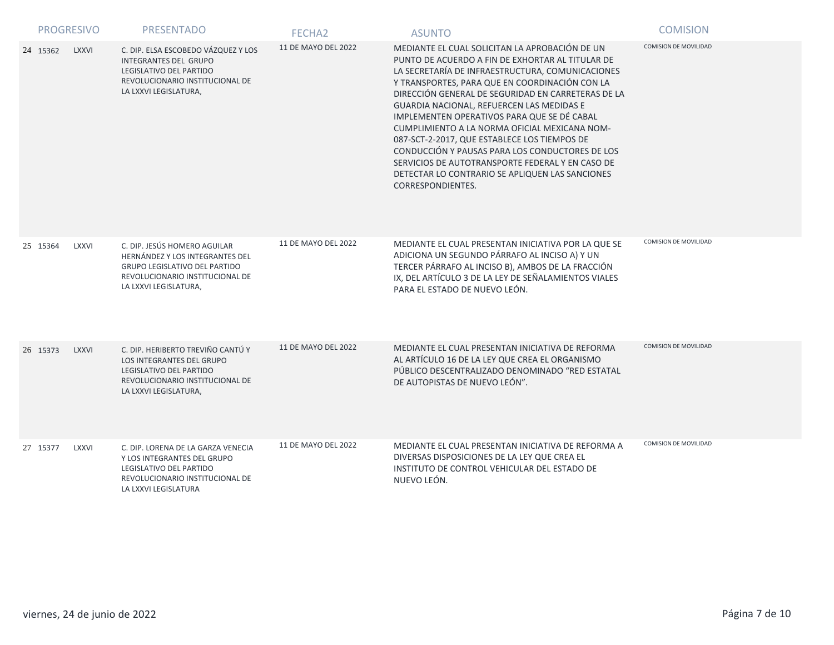|          | <b>PROGRESIVO</b> | PRESENTADO                                                                                                                                                          | FECHA <sub>2</sub>  | <b>ASUNTO</b>                                                                                                                                                                                                                                                                                                                                                                                                                                                                                                                                                                                                                              | <b>COMISION</b>              |
|----------|-------------------|---------------------------------------------------------------------------------------------------------------------------------------------------------------------|---------------------|--------------------------------------------------------------------------------------------------------------------------------------------------------------------------------------------------------------------------------------------------------------------------------------------------------------------------------------------------------------------------------------------------------------------------------------------------------------------------------------------------------------------------------------------------------------------------------------------------------------------------------------------|------------------------------|
| 24 15362 | <b>LXXVI</b>      | C. DIP. ELSA ESCOBEDO VÁZQUEZ Y LOS<br><b>INTEGRANTES DEL GRUPO</b><br>LEGISLATIVO DEL PARTIDO<br>REVOLUCIONARIO INSTITUCIONAL DE<br>LA LXXVI LEGISLATURA,          | 11 DE MAYO DEL 2022 | MEDIANTE EL CUAL SOLICITAN LA APROBACIÓN DE UN<br>PUNTO DE ACUERDO A FIN DE EXHORTAR AL TITULAR DE<br>LA SECRETARÍA DE INFRAESTRUCTURA, COMUNICACIONES<br>Y TRANSPORTES, PARA QUE EN COORDINACIÓN CON LA<br>DIRECCIÓN GENERAL DE SEGURIDAD EN CARRETERAS DE LA<br>GUARDIA NACIONAL, REFUERCEN LAS MEDIDAS E<br>IMPLEMENTEN OPERATIVOS PARA QUE SE DÉ CABAL<br>CUMPLIMIENTO A LA NORMA OFICIAL MEXICANA NOM-<br>087-SCT-2-2017, QUE ESTABLECE LOS TIEMPOS DE<br>CONDUCCIÓN Y PAUSAS PARA LOS CONDUCTORES DE LOS<br>SERVICIOS DE AUTOTRANSPORTE FEDERAL Y EN CASO DE<br>DETECTAR LO CONTRARIO SE APLIQUEN LAS SANCIONES<br>CORRESPONDIENTES. | <b>COMISION DE MOVILIDAD</b> |
| 25 15364 | <b>LXXVI</b>      | C. DIP. JESÚS HOMERO AGUILAR<br>HERNÁNDEZ Y LOS INTEGRANTES DEL<br><b>GRUPO LEGISLATIVO DEL PARTIDO</b><br>REVOLUCIONARIO INSTITUCIONAL DE<br>LA LXXVI LEGISLATURA, | 11 DE MAYO DEL 2022 | MEDIANTE EL CUAL PRESENTAN INICIATIVA POR LA QUE SE<br>ADICIONA UN SEGUNDO PÁRRAFO AL INCISO A) Y UN<br>TERCER PÁRRAFO AL INCISO B), AMBOS DE LA FRACCIÓN<br>IX, DEL ARTÍCULO 3 DE LA LEY DE SEÑALAMIENTOS VIALES<br>PARA EL ESTADO DE NUEVO LEÓN.                                                                                                                                                                                                                                                                                                                                                                                         | <b>COMISION DE MOVILIDAD</b> |
| 26 15373 | <b>LXXVI</b>      | C. DIP. HERIBERTO TREVIÑO CANTÚ Y<br>LOS INTEGRANTES DEL GRUPO<br>LEGISLATIVO DEL PARTIDO<br>REVOLUCIONARIO INSTITUCIONAL DE<br>LA LXXVI LEGISLATURA,               | 11 DE MAYO DEL 2022 | MEDIANTE EL CUAL PRESENTAN INICIATIVA DE REFORMA<br>AL ARTÍCULO 16 DE LA LEY QUE CREA EL ORGANISMO<br>PÚBLICO DESCENTRALIZADO DENOMINADO "RED ESTATAL<br>DE AUTOPISTAS DE NUEVO LEÓN".                                                                                                                                                                                                                                                                                                                                                                                                                                                     | <b>COMISION DE MOVILIDAD</b> |
| 27 15377 | <b>LXXVI</b>      | C. DIP. LORENA DE LA GARZA VENECIA<br>Y LOS INTEGRANTES DEL GRUPO<br>LEGISLATIVO DEL PARTIDO<br>REVOLUCIONARIO INSTITUCIONAL DE<br>LA LXXVI LEGISLATURA             | 11 DE MAYO DEL 2022 | MEDIANTE EL CUAL PRESENTAN INICIATIVA DE REFORMA A<br>DIVERSAS DISPOSICIONES DE LA LEY QUE CREA EL<br>INSTITUTO DE CONTROL VEHICULAR DEL ESTADO DE<br>NUEVO LEÓN.                                                                                                                                                                                                                                                                                                                                                                                                                                                                          | <b>COMISION DE MOVILIDAD</b> |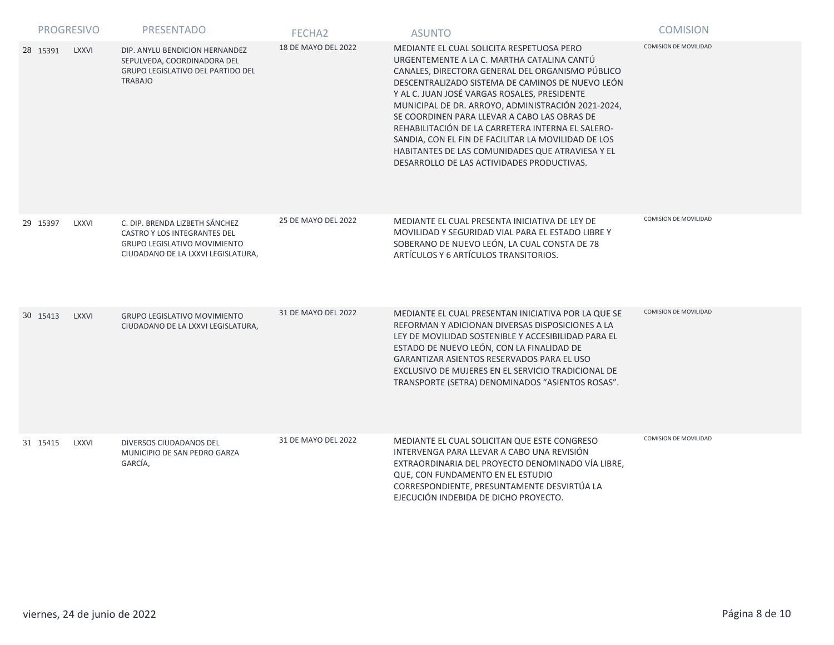|          | <b>PROGRESIVO</b> | <b>PRESENTADO</b>                                                                                                                           | FECHA <sub>2</sub>  | <b>ASUNTO</b>                                                                                                                                                                                                                                                                                                                                                                                                                                                                                                                                                       | <b>COMISION</b>              |
|----------|-------------------|---------------------------------------------------------------------------------------------------------------------------------------------|---------------------|---------------------------------------------------------------------------------------------------------------------------------------------------------------------------------------------------------------------------------------------------------------------------------------------------------------------------------------------------------------------------------------------------------------------------------------------------------------------------------------------------------------------------------------------------------------------|------------------------------|
| 28 15391 | <b>LXXVI</b>      | DIP. ANYLU BENDICION HERNANDEZ<br>SEPULVEDA, COORDINADORA DEL<br><b>GRUPO LEGISLATIVO DEL PARTIDO DEL</b><br><b>TRABAJO</b>                 | 18 DE MAYO DEL 2022 | MEDIANTE EL CUAL SOLICITA RESPETUOSA PERO<br>URGENTEMENTE A LA C. MARTHA CATALINA CANTÚ<br>CANALES, DIRECTORA GENERAL DEL ORGANISMO PÚBLICO<br>DESCENTRALIZADO SISTEMA DE CAMINOS DE NUEVO LEÓN<br>Y AL C. JUAN JOSÉ VARGAS ROSALES, PRESIDENTE<br>MUNICIPAL DE DR. ARROYO, ADMINISTRACIÓN 2021-2024,<br>SE COORDINEN PARA LLEVAR A CABO LAS OBRAS DE<br>REHABILITACIÓN DE LA CARRETERA INTERNA EL SALERO-<br>SANDIA, CON EL FIN DE FACILITAR LA MOVILIDAD DE LOS<br>HABITANTES DE LAS COMUNIDADES QUE ATRAVIESA Y EL<br>DESARROLLO DE LAS ACTIVIDADES PRODUCTIVAS. | COMISION DE MOVILIDAD        |
| 29 15397 | LXXVI             | C. DIP. BRENDA LIZBETH SÁNCHEZ<br>CASTRO Y LOS INTEGRANTES DEL<br><b>GRUPO LEGISLATIVO MOVIMIENTO</b><br>CIUDADANO DE LA LXXVI LEGISLATURA, | 25 DE MAYO DEL 2022 | MEDIANTE EL CUAL PRESENTA INICIATIVA DE LEY DE<br>MOVILIDAD Y SEGURIDAD VIAL PARA EL ESTADO LIBRE Y<br>SOBERANO DE NUEVO LEÓN, LA CUAL CONSTA DE 78<br>ARTÍCULOS Y 6 ARTÍCULOS TRANSITORIOS.                                                                                                                                                                                                                                                                                                                                                                        | COMISION DE MOVILIDAD        |
| 30 15413 | <b>LXXVI</b>      | <b>GRUPO LEGISLATIVO MOVIMIENTO</b><br>CIUDADANO DE LA LXXVI LEGISLATURA,                                                                   | 31 DE MAYO DEL 2022 | MEDIANTE EL CUAL PRESENTAN INICIATIVA POR LA QUE SE<br>REFORMAN Y ADICIONAN DIVERSAS DISPOSICIONES A LA<br>LEY DE MOVILIDAD SOSTENIBLE Y ACCESIBILIDAD PARA EL<br>ESTADO DE NUEVO LEÓN, CON LA FINALIDAD DE<br>GARANTIZAR ASIENTOS RESERVADOS PARA EL USO<br>EXCLUSIVO DE MUJERES EN EL SERVICIO TRADICIONAL DE<br>TRANSPORTE (SETRA) DENOMINADOS "ASIENTOS ROSAS".                                                                                                                                                                                                 | <b>COMISION DE MOVILIDAD</b> |
| 31 15415 | <b>LXXVI</b>      | DIVERSOS CIUDADANOS DEL<br>MUNICIPIO DE SAN PEDRO GARZA<br>GARCÍA,                                                                          | 31 DE MAYO DEL 2022 | MEDIANTE EL CUAL SOLICITAN QUE ESTE CONGRESO<br>INTERVENGA PARA LLEVAR A CABO UNA REVISIÓN<br>EXTRAORDINARIA DEL PROYECTO DENOMINADO VÍA LIBRE,<br>QUE, CON FUNDAMENTO EN EL ESTUDIO<br>CORRESPONDIENTE, PRESUNTAMENTE DESVIRTÚA LA<br>EJECUCIÓN INDEBIDA DE DICHO PROYECTO.                                                                                                                                                                                                                                                                                        | COMISION DE MOVILIDAD        |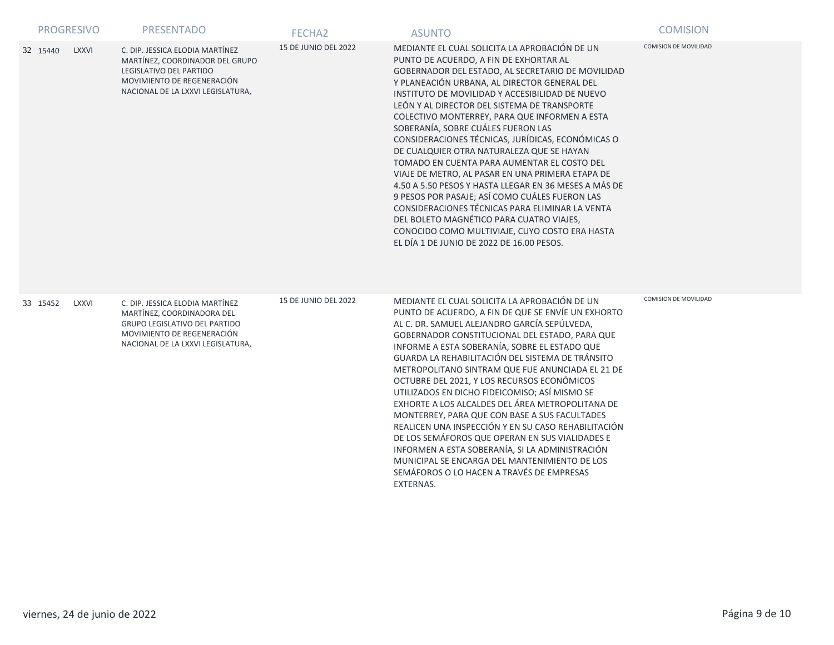|          | <b>PROGRESIVO</b> | <b>PRESENTADO</b>                                                                                                                                                 | FECHA <sub>2</sub>          | <b>ASUNTO</b>                                                                                                                                                                                                                                                                                                                                                                                                                                                                                                                                                                                                                                                                                                                                                                                                                                                                                        | <b>COMISION</b>              |
|----------|-------------------|-------------------------------------------------------------------------------------------------------------------------------------------------------------------|-----------------------------|------------------------------------------------------------------------------------------------------------------------------------------------------------------------------------------------------------------------------------------------------------------------------------------------------------------------------------------------------------------------------------------------------------------------------------------------------------------------------------------------------------------------------------------------------------------------------------------------------------------------------------------------------------------------------------------------------------------------------------------------------------------------------------------------------------------------------------------------------------------------------------------------------|------------------------------|
| 32 15440 | <b>LXXVI</b>      | C. DIP. JESSICA ELODIA MARTÍNEZ<br>MARTÍNEZ, COORDINADOR DEL GRUPO<br>LEGISLATIVO DEL PARTIDO<br>MOVIMIENTO DE REGENERACIÓN<br>NACIONAL DE LA LXXVI LEGISLATURA,  | <b>15 DE JUNIO DEL 2022</b> | MEDIANTE EL CUAL SOLICITA LA APROBACIÓN DE UN<br>PUNTO DE ACUERDO, A FIN DE EXHORTAR AL<br>GOBERNADOR DEL ESTADO, AL SECRETARIO DE MOVILIDAD<br>Y PLANEACIÓN URBANA, AL DIRECTOR GENERAL DEL<br>INSTITUTO DE MOVILIDAD Y ACCESIBILIDAD DE NUEVO<br>LEÓN Y AL DIRECTOR DEL SISTEMA DE TRANSPORTE<br>COLECTIVO MONTERREY, PARA QUE INFORMEN A ESTA<br>SOBERANÍA, SOBRE CUÁLES FUERON LAS<br>CONSIDERACIONES TÉCNICAS, JURÍDICAS, ECONÓMICAS O<br>DE CUALQUIER OTRA NATURALEZA QUE SE HAYAN<br>TOMADO EN CUENTA PARA AUMENTAR EL COSTO DEL<br>VIAJE DE METRO, AL PASAR EN UNA PRIMERA ETAPA DE<br>4.50 A 5.50 PESOS Y HASTA LLEGAR EN 36 MESES A MÁS DE<br>9 PESOS POR PASAJE; ASÍ COMO CUÁLES FUERON LAS<br>CONSIDERACIONES TÉCNICAS PARA ELIMINAR LA VENTA<br>DEL BOLETO MAGNÉTICO PARA CUATRO VIAJES,<br>CONOCIDO COMO MULTIVIAJE, CUYO COSTO ERA HASTA<br>EL DÍA 1 DE JUNIO DE 2022 DE 16.00 PESOS. | <b>COMISION DE MOVILIDAD</b> |
| 33 15452 | <b>LXXVI</b>      | C. DIP. JESSICA ELODIA MARTÍNEZ<br>MARTÍNEZ, COORDINADORA DEL<br>GRUPO LEGISLATIVO DEL PARTIDO<br>MOVIMIENTO DE REGENERACIÓN<br>NACIONAL DE LA LXXVI LEGISLATURA, | <b>15 DE JUNIO DEL 2022</b> | MEDIANTE EL CUAL SOLICITA LA APROBACIÓN DE UN<br>PUNTO DE ACUERDO, A FIN DE QUE SE ENVÍE UN EXHORTO<br>AL C. DR. SAMUEL ALEJANDRO GARCÍA SEPÚLVEDA,<br>GOBERNADOR CONSTITUCIONAL DEL ESTADO, PARA QUE<br>INFORME A ESTA SOBERANÍA, SOBRE EL ESTADO QUE<br>GUARDA LA REHABILITACIÓN DEL SISTEMA DE TRÁNSITO<br>METROPOLITANO SINTRAM QUE FUE ANUNCIADA EL 21 DE<br>OCTUBRE DEL 2021, Y LOS RECURSOS ECONÓMICOS<br>UTILIZADOS EN DICHO FIDEICOMISO; ASÍ MISMO SE<br>EXHORTE A LOS ALCALDES DEL ÁREA METROPOLITANA DE<br>MONTERREY, PARA QUE CON BASE A SUS FACULTADES<br>REALICEN UNA INSPECCIÓN Y EN SU CASO REHABILITACIÓN<br>DE LOS SEMÁFOROS QUE OPERAN EN SUS VIALIDADES E<br>INFORMEN A ESTA SOBERANÍA, SI LA ADMINISTRACIÓN<br>MUNICIPAL SE ENCARGA DEL MANTENIMIENTO DE LOS<br>SEMÁFOROS O LO HACEN A TRAVÉS DE EMPRESAS<br>EXTERNAS.                                                          | <b>COMISION DE MOVILIDAD</b> |